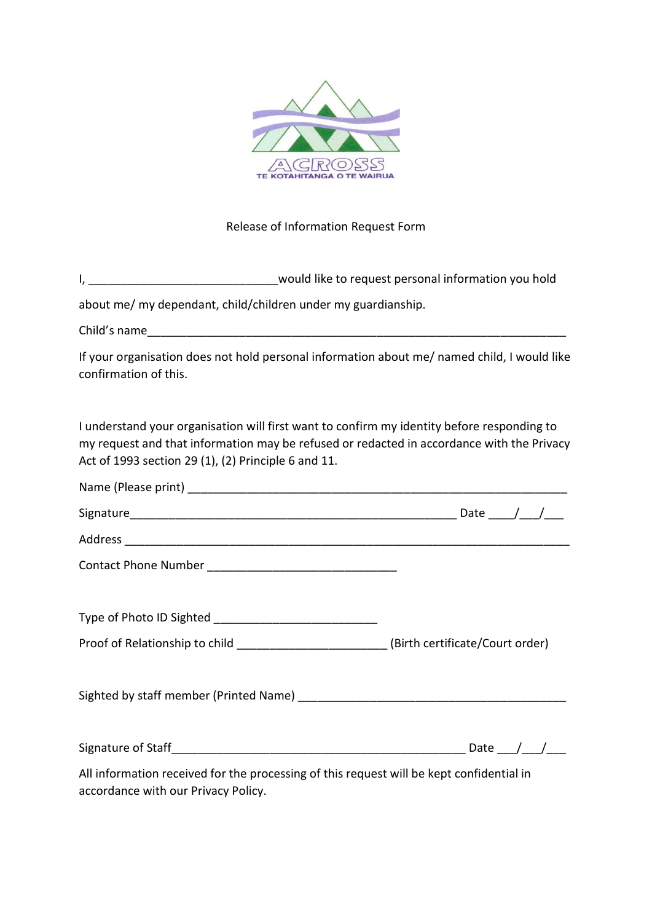

## Release of Information Request Form

I, \_\_\_\_\_\_\_\_\_\_\_\_\_\_\_\_\_\_\_\_\_\_\_\_\_\_\_\_\_\_\_\_\_would like to request personal information you hold

about me/ my dependant, child/children under my guardianship.

Child's name

If your organisation does not hold personal information about me/ named child, I would like confirmation of this.

I understand your organisation will first want to confirm my identity before responding to my request and that information may be refused or redacted in accordance with the Privacy Act of 1993 section 29 (1), (2) Principle 6 and 11.

| Proof of Relationship to child ________________________(Birth certificate/Court order)                                          |  |
|---------------------------------------------------------------------------------------------------------------------------------|--|
|                                                                                                                                 |  |
|                                                                                                                                 |  |
|                                                                                                                                 |  |
|                                                                                                                                 |  |
| All information received for the processing of this request will be kept confidential in<br>accordance with our Privacy Policy. |  |